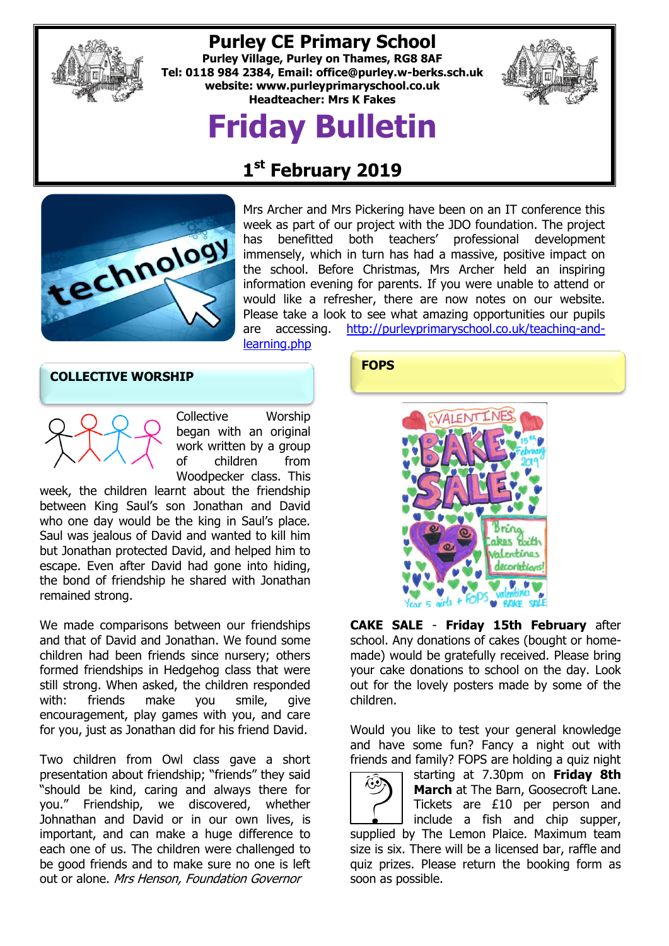

# **Purley CE Primary School**

**Purley Village, Purley on Thames, RG8 8AF Tel: 0118 984 2384, Email: [office@purley.w-berks.sch.uk](mailto:office@purley.w-berks.sch.uk) website: www.purleyprimaryschool.co.uk Headteacher: Mrs K Fakes**

# **Friday Bulletin**



# **1 st February 2019**



Mrs Archer and Mrs Pickering have been on an IT conference this week as part of our project with the JDO foundation. The project has benefitted both teachers' professional development immensely, which in turn has had a massive, positive impact on the school. Before Christmas, Mrs Archer held an inspiring information evening for parents. If you were unable to attend or would like a refresher, there are now notes on our website. Please take a look to see what amazing opportunities our pupils are accessing. [http://purleyprimaryschool.co.uk/teaching-and](http://purleyprimaryschool.co.uk/teaching-and-learning.php)[learning.php](http://purleyprimaryschool.co.uk/teaching-and-learning.php)

**COLLECTIVE WORSHIP**



Collective Worship began with an original work written by a group of children from Woodpecker class. This

week, the children learnt about the friendship between King Saul's son Jonathan and David who one day would be the king in Saul's place. Saul was jealous of David and wanted to kill him but Jonathan protected David, and helped him to escape. Even after David had gone into hiding, the bond of friendship he shared with Jonathan remained strong.

We made comparisons between our friendships and that of David and Jonathan. We found some children had been friends since nursery; others formed friendships in Hedgehog class that were still strong. When asked, the children responded with: friends make you smile, give encouragement, play games with you, and care for you, just as Jonathan did for his friend David.

Two children from Owl class gave a short presentation about friendship; "friends" they said "should be kind, caring and always there for you." Friendship, we discovered, whether Johnathan and David or in our own lives, is important, and can make a huge difference to each one of us. The children were challenged to be good friends and to make sure no one is left out or alone. Mrs Henson, Foundation Governor

# **FOPS**



**CAKE SALE** - **Friday 15th February** after school. Any donations of cakes (bought or homemade) would be gratefully received. Please bring your cake donations to school on the day. Look out for the lovely posters made by some of the children.

Would you like to test your general knowledge and have some fun? Fancy a night out with friends and family? FOPS are holding a quiz night



starting at 7.30pm on **Friday 8th March** at The Barn, Goosecroft Lane. Tickets are £10 per person and include a fish and chip supper,

supplied by The Lemon Plaice. Maximum team size is six. There will be a licensed bar, raffle and quiz prizes. Please return the booking form as soon as possible.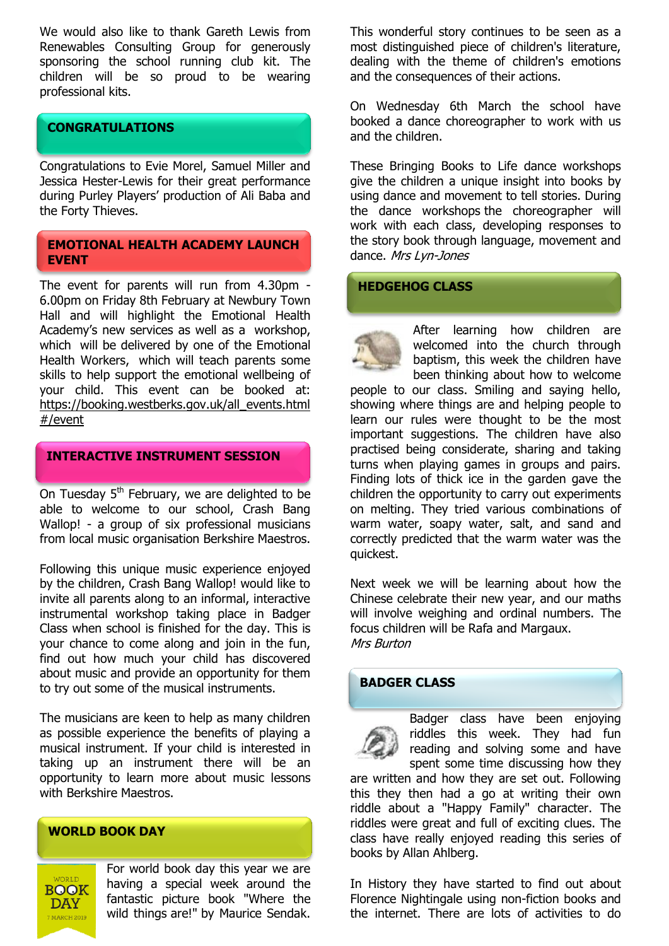We would also like to thank Gareth Lewis from Renewables Consulting Group for generously sponsoring the school running club kit. The children will be so proud to be wearing professional kits.

# **CONGRATULATIONS**

Congratulations to Evie Morel, Samuel Miller and Jessica Hester-Lewis for their great performance during Purley Players' production of Ali Baba and the Forty Thieves.

# **EMOTIONAL HEALTH ACADEMY LAUNCH EVENT**

The event for parents will run from 4.30pm - 6.00pm on Friday 8th February at Newbury Town Hall and will highlight the Emotional Health Academy's new services as well as a workshop, which will be delivered by one of the Emotional Health Workers, which will teach parents some skills to help support the emotional wellbeing of your child. This event can be booked at: [https://booking.westberks.gov.uk/all\\_events.html](https://booking.westberks.gov.uk/all_events.html#/event) [#/event](https://booking.westberks.gov.uk/all_events.html#/event)

# **INTERACTIVE INSTRUMENT SESSION**

On Tuesday  $5<sup>th</sup>$  February, we are delighted to be able to welcome to our school, Crash Bang Wallop! - a group of six professional musicians from local music organisation Berkshire Maestros.

Following this unique music experience enjoyed by the children, Crash Bang Wallop! would like to invite all parents along to an informal, interactive instrumental workshop taking place in Badger Class when school is finished for the day. This is your chance to come along and join in the fun, find out how much your child has discovered about music and provide an opportunity for them to try out some of the musical instruments.

The musicians are keen to help as many children as possible experience the benefits of playing a musical instrument. If your child is interested in taking up an instrument there will be an opportunity to learn more about music lessons with Berkshire Maestros.

# **WORLD BOOK DAY**

**BOOK DAY** 7 MARCH 2019

For world book day this year we are having a special week around the fantastic picture book "Where the wild things are!" by Maurice Sendak. This wonderful story continues to be seen as a most distinguished piece of children's literature, dealing with the theme of children's emotions and the consequences of their actions.

On Wednesday 6th March the school have booked a dance choreographer to work with us and the children.

These Bringing Books to Life dance workshops give the children a unique insight into books by using dance and movement to tell stories. During the dance workshops the choreographer will work with each class, developing responses to the story book through language, movement and dance. Mrs Lyn-Jones

## **HEDGEHOG CLASS**

After learning how children are welcomed into the church through baptism, this week the children have been thinking about how to welcome

people to our class. Smiling and saying hello, showing where things are and helping people to learn our rules were thought to be the most important suggestions. The children have also practised being considerate, sharing and taking turns when playing games in groups and pairs. Finding lots of thick ice in the garden gave the children the opportunity to carry out experiments on melting. They tried various combinations of warm water, soapy water, salt, and sand and correctly predicted that the warm water was the quickest.

Next week we will be learning about how the Chinese celebrate their new year, and our maths will involve weighing and ordinal numbers. The focus children will be Rafa and Margaux. Mrs Burton

# **BADGER CLASS**



Badger class have been enjoying riddles this week. They had fun reading and solving some and have spent some time discussing how they

are written and how they are set out. Following this they then had a go at writing their own riddle about a "Happy Family" character. The riddles were great and full of exciting clues. The class have really enjoyed reading this series of books by Allan Ahlberg.

In History they have started to find out about Florence Nightingale using non-fiction books and the internet. There are lots of activities to do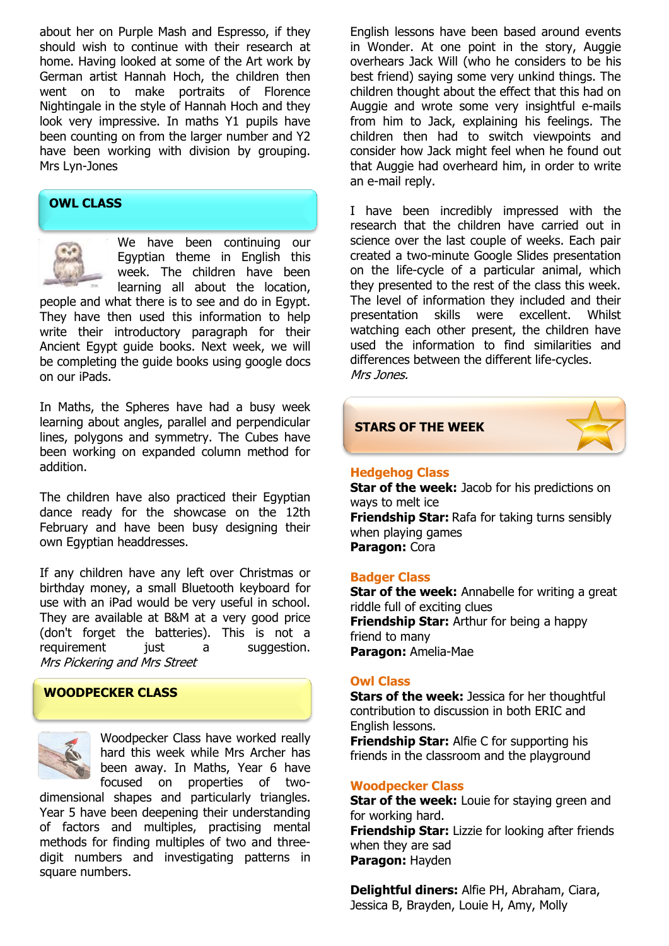about her on Purple Mash and Espresso, if they should wish to continue with their research at home. Having looked at some of the Art work by German artist Hannah Hoch, the children then went on to make portraits of Florence Nightingale in the style of Hannah Hoch and they look very impressive. In maths Y1 pupils have been counting on from the larger number and Y2 have been working with division by grouping. Mrs Lyn-Jones

# **OWL CLASS**



We have been continuing our Egyptian theme in English this week. The children have been learning all about the location,

people and what there is to see and do in Egypt. They have then used this information to help write their introductory paragraph for their Ancient Egypt guide books. Next week, we will be completing the guide books using google docs on our iPads.

In Maths, the Spheres have had a busy week learning about angles, parallel and perpendicular lines, polygons and symmetry. The Cubes have been working on expanded column method for addition.

The children have also practiced their Egyptian dance ready for the showcase on the 12th February and have been busy designing their own Egyptian headdresses.

If any children have any left over Christmas or birthday money, a small Bluetooth keyboard for use with an iPad would be very useful in school. They are available at B&M at a very good price (don't forget the batteries). This is not a requirement just a suggestion. Mrs Pickering and Mrs Street

#### **WOODPECKER CLASS**



Woodpecker Class have worked really hard this week while Mrs Archer has been away. In Maths, Year 6 have focused on properties of two-

dimensional shapes and particularly triangles. Year 5 have been deepening their understanding of factors and multiples, practising mental methods for finding multiples of two and threedigit numbers and investigating patterns in square numbers.

English lessons have been based around events in Wonder. At one point in the story, Auggie overhears Jack Will (who he considers to be his best friend) saying some very unkind things. The children thought about the effect that this had on Auggie and wrote some very insightful e-mails from him to Jack, explaining his feelings. The children then had to switch viewpoints and consider how Jack might feel when he found out that Auggie had overheard him, in order to write an e-mail reply.

I have been incredibly impressed with the research that the children have carried out in science over the last couple of weeks. Each pair created a two-minute Google Slides presentation on the life-cycle of a particular animal, which they presented to the rest of the class this week. The level of information they included and their presentation skills were excellent. Whilst watching each other present, the children have used the information to find similarities and differences between the different life-cycles. Mrs Jones.

#### **STARS OF THE WEEK**



#### **Hedgehog Class**

**Star of the week: Jacob for his predictions on** ways to melt ice **Friendship Star:** Rafa for taking turns sensibly when playing games **Paragon:** Cora

#### **Badger Class**

**Star of the week:** Annabelle for writing a great riddle full of exciting clues **Friendship Star:** Arthur for being a happy friend to many **Paragon:** Amelia-Mae

#### **Owl Class**

**Stars of the week:** Jessica for her thoughtful contribution to discussion in both ERIC and English lessons.

**Friendship Star:** Alfie C for supporting his friends in the classroom and the playground

#### **Woodpecker Class**

**Star of the week:** Louie for staying green and for working hard. **Friendship Star:** Lizzie for looking after friends when they are sad **Paragon:** Hayden

**Delightful diners:** Alfie PH, Abraham, Ciara, Jessica B, Brayden, Louie H, Amy, Molly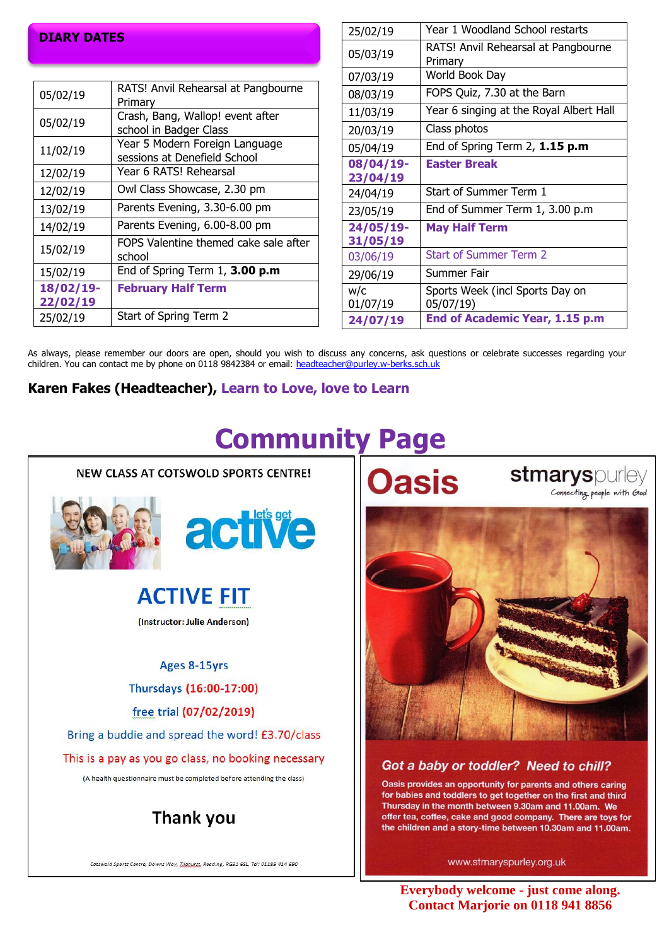# **DIARY DATES**

| 05/02/19  | RATS! Anvil Rehearsal at Pangbourne<br>Primarv                 |
|-----------|----------------------------------------------------------------|
| 05/02/19  | Crash, Bang, Wallop! event after<br>school in Badger Class     |
| 11/02/19  | Year 5 Modern Foreign Language<br>sessions at Denefield School |
| 12/02/19  | Year 6 RATS! Rehearsal                                         |
| 12/02/19  | Owl Class Showcase, 2.30 pm                                    |
| 13/02/19  | Parents Evening, 3.30-6.00 pm                                  |
| 14/02/19  | Parents Evening, 6.00-8.00 pm                                  |
| 15/02/19  | FOPS Valentine themed cake sale after<br>school                |
| 15/02/19  | End of Spring Term 1, 3.00 p.m                                 |
| 18/02/19- | <b>February Half Term</b>                                      |
| 22/02/19  |                                                                |
| 25/02/19  | Start of Spring Term 2                                         |

| 25/02/19  | Year 1 Woodland School restarts                |
|-----------|------------------------------------------------|
| 05/03/19  | RATS! Anvil Rehearsal at Pangbourne<br>Primary |
| 07/03/19  | World Book Day                                 |
| 08/03/19  | FOPS Quiz, 7.30 at the Barn                    |
| 11/03/19  | Year 6 singing at the Royal Albert Hall        |
| 20/03/19  | Class photos                                   |
| 05/04/19  | End of Spring Term $2$ , $1.15$ p.m            |
| 08/04/19- | <b>Easter Break</b>                            |
| 23/04/19  |                                                |
| 24/04/19  | Start of Summer Term 1                         |
| 23/05/19  | End of Summer Term 1, 3.00 p.m                 |
| 24/05/19- | <b>May Half Term</b>                           |
| 31/05/19  |                                                |
| 03/06/19  | <b>Start of Summer Term 2</b>                  |
| 29/06/19  | Summer Fair                                    |
| w/c       | Sports Week (incl Sports Day on                |
| 01/07/19  | 05/07/19)                                      |
| 24/07/19  | End of Academic Year, 1.15 p.m                 |

As always, please remember our doors are open, should you wish to discuss any concerns, ask questions or celebrate successes regarding your children. You can contact me by phone on 0118 9842384 or email: [headteacher@purley.w-berks.sch.uk](mailto:headteacher@purley.w-berks.sch.uk)

**Karen Fakes (Headteacher), Learn to Love, love to Learn**



Cotswold Sports Centre, Downs Way, Tileburst, Reading, RG31 65L, Tel: 01189 414 690

# **Community Page**

**Oasis** 

stmaryspurley Connecting people with God



## Got a baby or toddler? Need to chill?

Oasis provides an opportunity for parents and others caring for babies and toddlers to get together on the first and third Thursday in the month between 9.30am and 11.00am. We offer tea, coffee, cake and good company. There are toys for the children and a story-time between 10.30am and 11.00am.

www.stmaryspurley.org.uk

**Everybody welcome - just come along. Contact Marjorie on 0118 941 8856**